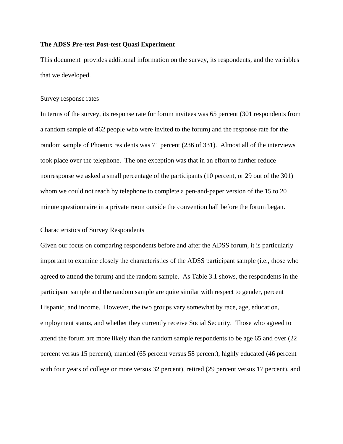This document provides additional information on the survey, its respondents, and the variables that we developed.

### Survey response rates

In terms of the survey, its response rate for forum invitees was 65 percent (301 respondents from a random sample of 462 people who were invited to the forum) and the response rate for the random sample of Phoenix residents was 71 percent (236 of 331). Almost all of the interviews took place over the telephone. The one exception was that in an effort to further reduce nonresponse we asked a small percentage of the participants (10 percent, or 29 out of the 301) whom we could not reach by telephone to complete a pen-and-paper version of the 15 to 20 minute questionnaire in a private room outside the convention hall before the forum began.

#### Characteristics of Survey Respondents

Given our focus on comparing respondents before and after the ADSS forum, it is particularly important to examine closely the characteristics of the ADSS participant sample (i.e., those who agreed to attend the forum) and the random sample. As Table 3.1 shows, the respondents in the participant sample and the random sample are quite similar with respect to gender, percent Hispanic, and income. However, the two groups vary somewhat by race, age, education, employment status, and whether they currently receive Social Security. Those who agreed to attend the forum are more likely than the random sample respondents to be age 65 and over (22 percent versus 15 percent), married (65 percent versus 58 percent), highly educated (46 percent with four years of college or more versus 32 percent), retired (29 percent versus 17 percent), and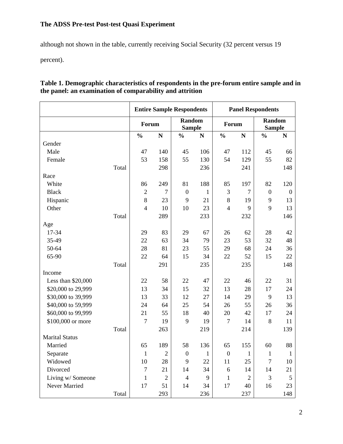although not shown in the table, currently receiving Social Security (32 percent versus 19

percent).

|                       |       | <b>Entire Sample Respondents</b> |                |                                |           | <b>Panel Respondents</b> |                |                         |                  |
|-----------------------|-------|----------------------------------|----------------|--------------------------------|-----------|--------------------------|----------------|-------------------------|------------------|
|                       |       | Forum                            |                | <b>Random</b><br><b>Sample</b> |           | Forum                    |                | Random<br><b>Sample</b> |                  |
|                       |       | $\frac{0}{0}$                    | $\mathbf N$    | $\frac{0}{0}$                  | ${\bf N}$ | $\frac{0}{0}$            | $\mathbf N$    | $\frac{0}{0}$           | N                |
| Gender                |       |                                  |                |                                |           |                          |                |                         |                  |
| Male                  |       | 47                               | 140            | 45                             | 106       | 47                       | 112            | 45                      | 66               |
| Female                |       | 53                               | 158            | 55                             | 130       | 54                       | 129            | 55                      | 82               |
|                       | Total |                                  | 298            |                                | 236       |                          | 241            |                         | 148              |
| Race                  |       |                                  |                |                                |           |                          |                |                         |                  |
| White                 |       | 86                               | 249            | 81                             | 188       | 85                       | 197            | 82                      | 120              |
| <b>Black</b>          |       | $\sqrt{2}$                       | $\tau$         | $\boldsymbol{0}$               | 1         | $\mathfrak{Z}$           | $\overline{7}$ | $\boldsymbol{0}$        | $\boldsymbol{0}$ |
| Hispanic              |       | 8                                | 23             | 9                              | 21        | $8\,$                    | 19             | 9                       | 13               |
| Other                 |       | $\overline{4}$                   | 10             | 10                             | 23        | $\overline{4}$           | 9              | 9                       | 13               |
|                       | Total |                                  | 289            |                                | 233       |                          | 232            |                         | 146              |
| Age                   |       |                                  |                |                                |           |                          |                |                         |                  |
| 17-34                 |       | 29                               | 83             | 29                             | 67        | 26                       | 62             | 28                      | 42               |
| 35-49                 |       | 22                               | 63             | 34                             | 79        | 23                       | 53             | 32                      | 48               |
| 50-64                 |       | 28                               | 81             | 23                             | 55        | 29                       | 68             | 24                      | 36               |
| 65-90                 |       | 22                               | 64             | 15                             | 34        | 22                       | 52             | 15                      | 22               |
|                       | Total |                                  | 291            |                                | 235       |                          | 235            |                         | 148              |
| Income                |       |                                  |                |                                |           |                          |                |                         |                  |
| Less than \$20,000    |       | 22                               | 58             | 22                             | 47        | 22                       | 46             | 22                      | 31               |
| \$20,000 to 29,999    |       | 13                               | 34             | 15                             | 32        | 13                       | 28             | 17                      | 24               |
| \$30,000 to 39,999    |       | 13                               | 33             | 12                             | 27        | 14                       | 29             | 9                       | 13               |
| \$40,000 to 59,999    |       | 24                               | 64             | 25                             | 54        | 26                       | 55             | 26                      | 36               |
| \$60,000 to 99,999    |       | 21                               | 55             | 18                             | 40        | 20                       | 42             | 17                      | 24               |
| \$100,000 or more     |       | $\tau$                           | 19             | 9                              | 19        | $\overline{7}$           | 14             | 8                       | 11               |
|                       | Total |                                  | 263            |                                | 219       |                          | 214            |                         | 139              |
| <b>Marital Status</b> |       |                                  |                |                                |           |                          |                |                         |                  |
| Married               |       | 65                               | 189            | 58                             | 136       | 65                       | 155            | 60                      | 88               |
| Separate              |       | $\mathbf{1}$                     | $\sqrt{2}$     | $\boldsymbol{0}$               | 1         | $\boldsymbol{0}$         | 1              | 1                       | 1                |
| Widowed               |       | 10                               | 28             | 9                              | 22        | 11                       | 25             | 7                       | 10               |
| Divorced              |       | $\tau$                           | 21             | 14                             | 34        | 6                        | 14             | 14                      | 21               |
| Living w/ Someone     |       | $\mathbf{1}$                     | $\mathfrak{2}$ | $\overline{4}$                 | 9         | $\mathbf{1}$             | $\mathfrak{2}$ | 3                       | 5                |
| Never Married         |       | 17                               | 51             | 14                             | 34        | 17                       | 40             | 16                      | 23               |
|                       | Total |                                  | 293            |                                | 236       |                          | 237            |                         | 148              |

## **Table 1. Demographic characteristics of respondents in the pre-forum entire sample and in the panel: an examination of comparability and attrition**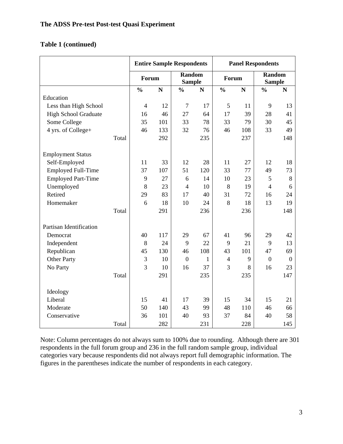# **Table 1 (continued)**

|                             |                | <b>Entire Sample Respondents</b> |                  |                                |                | <b>Panel Respondents</b> |                  |                                |  |
|-----------------------------|----------------|----------------------------------|------------------|--------------------------------|----------------|--------------------------|------------------|--------------------------------|--|
|                             |                | Forum                            |                  | <b>Random</b><br><b>Sample</b> |                | Forum                    |                  | <b>Random</b><br><b>Sample</b> |  |
|                             | $\frac{0}{0}$  | ${\bf N}$                        | $\frac{0}{0}$    | $\mathbf N$                    | $\frac{0}{0}$  | ${\bf N}$                | $\frac{0}{0}$    | $\mathbf N$                    |  |
| Education                   |                |                                  |                  |                                |                |                          |                  |                                |  |
| Less than High School       | $\overline{4}$ | 12                               | $\overline{7}$   | 17                             | 5              | 11                       | 9                | 13                             |  |
| <b>High School Graduate</b> | 16             | 46                               | 27               | 64                             | 17             | 39                       | 28               | 41                             |  |
| Some College                | 35             | 101                              | 33               | 78                             | 33             | 79                       | 30               | 45                             |  |
| 4 yrs. of College+          | 46             | 133                              | 32               | 76                             | 46             | 108                      | 33               | 49                             |  |
| Total                       |                | 292                              |                  | 235                            |                | 237                      |                  | 148                            |  |
| <b>Employment Status</b>    |                |                                  |                  |                                |                |                          |                  |                                |  |
| Self-Employed               | 11             | 33                               | 12               | 28                             | 11             | 27                       | 12               | 18                             |  |
| <b>Employed Full-Time</b>   | 37             | 107                              | 51               | 120                            | 33             | 77                       | 49               | 73                             |  |
| <b>Employed Part-Time</b>   | 9              | 27                               | 6                | 14                             | 10             | 23                       | 5                | 8                              |  |
| Unemployed                  | 8              | 23                               | $\overline{4}$   | 10                             | 8              | 19                       | $\overline{4}$   | 6                              |  |
| Retired                     | 29             | 83                               | 17               | 40                             | 31             | 72                       | 16               | 24                             |  |
| Homemaker                   | 6              | 18                               | 10               | 24                             | 8              | 18                       | 13               | 19                             |  |
| Total                       |                | 291                              |                  | 236                            |                | 236                      |                  | 148                            |  |
| Partisan Identification     |                |                                  |                  |                                |                |                          |                  |                                |  |
| Democrat                    | 40             | 117                              | 29               | 67                             | 41             | 96                       | 29               | 42                             |  |
| Independent                 | 8              | 24                               | 9                | 22                             | 9              | 21                       | 9                | 13                             |  |
| Republican                  | 45             | 130                              | 46               | 108                            | 43             | 101                      | 47               | 69                             |  |
| <b>Other Party</b>          | 3              | 10                               | $\boldsymbol{0}$ | 1                              | $\overline{4}$ | 9                        | $\boldsymbol{0}$ | $\mathbf{0}$                   |  |
| No Party                    | 3              | 10                               | 16               | 37                             | 3              | 8                        | 16               | 23                             |  |
| Total                       |                | 291                              |                  | 235                            |                | 235                      |                  | 147                            |  |
| Ideology                    |                |                                  |                  |                                |                |                          |                  |                                |  |
| Liberal                     | 15             | 41                               | 17               | 39                             | 15             | 34                       | 15               | 21                             |  |
| Moderate                    | 50             | 140                              | 43               | 99                             | 48             | 110                      | 46               | 66                             |  |
| Conservative                | 36             | 101                              | 40               | 93                             | 37             | 84                       | 40               | 58                             |  |
| Total                       |                | 282                              |                  | 231                            |                | 228                      |                  | 145                            |  |

Note: Column percentages do not always sum to 100% due to rounding. Although there are 301 respondents in the full forum group and 236 in the full random sample group, individual categories vary because respondents did not always report full demographic information. The figures in the parentheses indicate the number of respondents in each category.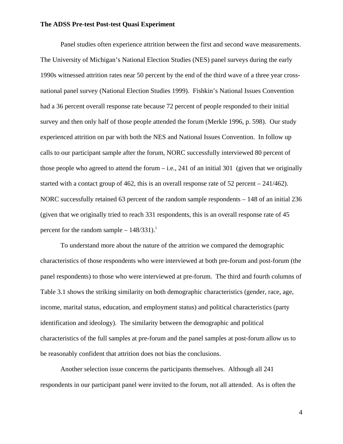Panel studies often experience attrition between the first and second wave measurements. The University of Michigan's National Election Studies (NES) panel surveys during the early 1990s witnessed attrition rates near 50 percent by the end of the third wave of a three year crossnational panel survey (National Election Studies 1999). Fishkin's National Issues Convention had a 36 percent overall response rate because 72 percent of people responded to their initial survey and then only half of those people attended the forum (Merkle 1996, p. 598). Our study experienced attrition on par with both the NES and National Issues Convention. In follow up calls to our participant sample after the forum, NORC successfully interviewed 80 percent of those people who agreed to attend the forum  $-$  i.e., 241 of an initial 301 (given that we originally started with a contact group of 462, this is an overall response rate of 52 percent – 241/462). NORC successfully retained 63 percent of the random sample respondents – 148 of an initial 236 (given that we originally tried to reach 331 respondents, this is an overall response rate of 45 percent for the random sample  $-148/331$ .<sup>[i](#page-6-0)</sup>

To understand more about the nature of the attrition we compared the demographic characteristics of those respondents who were interviewed at both pre-forum and post-forum (the panel respondents) to those who were interviewed at pre-forum. The third and fourth columns of Table 3.1 shows the striking similarity on both demographic characteristics (gender, race, age, income, marital status, education, and employment status) and political characteristics (party identification and ideology). The similarity between the demographic and political characteristics of the full samples at pre-forum and the panel samples at post-forum allow us to be reasonably confident that attrition does not bias the conclusions.

Another selection issue concerns the participants themselves. Although all 241 respondents in our participant panel were invited to the forum, not all attended. As is often the

4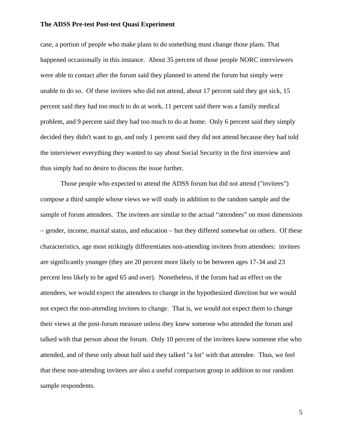case, a portion of people who make plans to do something must change those plans. That happened occasionally in this instance. About 35 percent of those people NORC interviewers were able to contact after the forum said they planned to attend the forum but simply were unable to do so. Of these invitees who did not attend, about 17 percent said they got sick, 15 percent said they had too much to do at work, 11 percent said there was a family medical problem, and 9 percent said they had too much to do at home. Only 6 percent said they simply decided they didn't want to go, and only 1 percent said they did not attend because they had told the interviewer everything they wanted to say about Social Security in the first interview and thus simply had no desire to discuss the issue further.

Those people who expected to attend the ADSS forum but did not attend ("invitees") compose a third sample whose views we will study in addition to the random sample and the sample of forum attendees. The invitees are similar to the actual "attendees" on most dimensions − gender, income, marital status, and education − but they differed somewhat on others. Of these characteristics, age most strikingly differentiates non-attending invitees from attendees: invitees are significantly younger (they are 20 percent more likely to be between ages 17-34 and 23 percent less likely to be aged 65 and over). Nonetheless, if the forum had an effect on the attendees, we would expect the attendees to change in the hypothesized direction but we would not expect the non-attending invitees to change. That is, we would not expect them to change their views at the post-forum measure unless they knew someone who attended the forum and talked with that person about the forum. Only 10 percent of the invitees knew someone else who attended, and of these only about half said they talked "a lot" with that attendee. Thus, we feel that these non-attending invitees are also a useful comparison group in addition to our random sample respondents.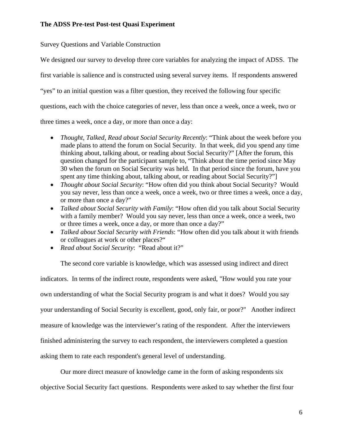Survey Questions and Variable Construction

We designed our survey to develop three core variables for analyzing the impact of ADSS. The first variable is salience and is constructed using several survey items. If respondents answered "yes" to an initial question was a filter question, they received the following four specific questions, each with the choice categories of never, less than once a week, once a week, two or three times a week, once a day, or more than once a day:

- *Thought, Talked, Read about Social Security Recently*: "Think about the week before you made plans to attend the forum on Social Security. In that week, did you spend any time thinking about, talking about, or reading about Social Security?" [After the forum, this question changed for the participant sample to, "Think about the time period since May 30 when the forum on Social Security was held. In that period since the forum, have you spent any time thinking about, talking about, or reading about Social Security?"]
- *Thought about Social Security*: "How often did you think about Social Security? Would you say never, less than once a week, once a week, two or three times a week, once a day, or more than once a day?"
- *Talked about Social Security with Family*: "How often did you talk about Social Security with a family member? Would you say never, less than once a week, once a week, two or three times a week, once a day, or more than once a day?"
- *Talked about Social Security with Friends*: "How often did you talk about it with friends or colleagues at work or other places?"
- *Read about Social Security*: "Read about it?"

The second core variable is knowledge, which was assessed using indirect and direct indicators. In terms of the indirect route, respondents were asked, "How would you rate your own understanding of what the Social Security program is and what it does? Would you say your understanding of Social Security is excellent, good, only fair, or poor?" Another indirect measure of knowledge was the interviewer's rating of the respondent. After the interviewers finished administering the survey to each respondent, the interviewers completed a question asking them to rate each respondent's general level of understanding.

Our more direct measure of knowledge came in the form of asking respondents six objective Social Security fact questions. Respondents were asked to say whether the first four